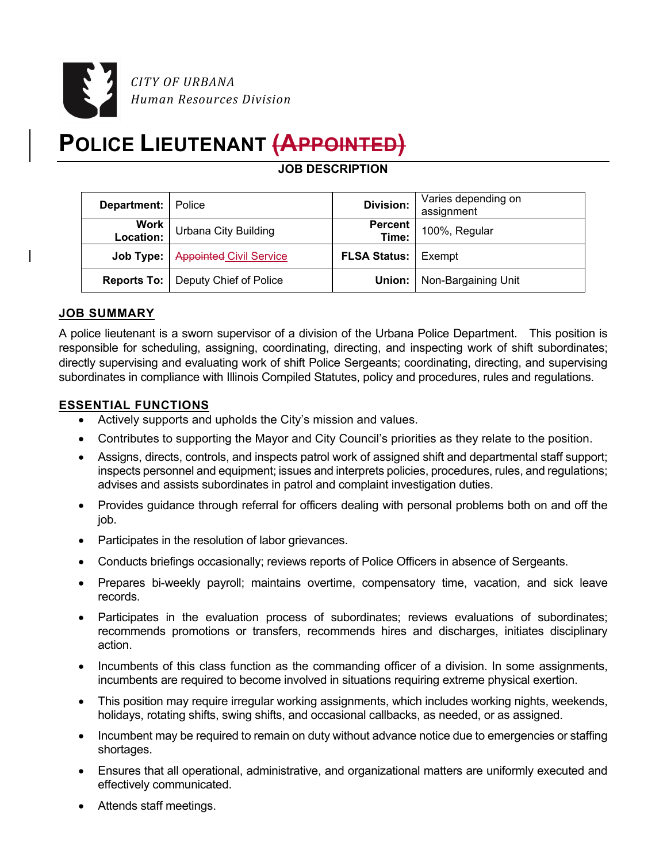

# **POLICE LIEUTENANT (APPOINTED)**

**JOB DESCRIPTION** 

| <b>Department:</b> Police |                                             | <b>Division:</b>             | Varies depending on<br>assignment   |
|---------------------------|---------------------------------------------|------------------------------|-------------------------------------|
| Work<br>:Location         | <b>Urbana City Building</b>                 | <b>Percent</b><br>Time:      | 100%, Regular                       |
|                           | Job Type:   Appointed Civil Service         | <b>FLSA Status:   Exempt</b> |                                     |
|                           | <b>Reports To:</b>   Deputy Chief of Police |                              | <b>Union:</b>   Non-Bargaining Unit |

## **JOB SUMMARY**

A police lieutenant is a sworn supervisor of a division of the Urbana Police Department. This position is responsible for scheduling, assigning, coordinating, directing, and inspecting work of shift subordinates; directly supervising and evaluating work of shift Police Sergeants; coordinating, directing, and supervising subordinates in compliance with Illinois Compiled Statutes, policy and procedures, rules and regulations.

## **ESSENTIAL FUNCTIONS**

- Actively supports and upholds the City's mission and values.
- Contributes to supporting the Mayor and City Council's priorities as they relate to the position.
- Assigns, directs, controls, and inspects patrol work of assigned shift and departmental staff support; inspects personnel and equipment; issues and interprets policies, procedures, rules, and regulations; advises and assists subordinates in patrol and complaint investigation duties.
- Provides guidance through referral for officers dealing with personal problems both on and off the job.
- Participates in the resolution of labor grievances.
- Conducts briefings occasionally; reviews reports of Police Officers in absence of Sergeants.
- Prepares bi-weekly payroll; maintains overtime, compensatory time, vacation, and sick leave records.
- Participates in the evaluation process of subordinates; reviews evaluations of subordinates; recommends promotions or transfers, recommends hires and discharges, initiates disciplinary action.
- Incumbents of this class function as the commanding officer of a division. In some assignments, incumbents are required to become involved in situations requiring extreme physical exertion.
- This position may require irregular working assignments, which includes working nights, weekends, holidays, rotating shifts, swing shifts, and occasional callbacks, as needed, or as assigned.
- Incumbent may be required to remain on duty without advance notice due to emergencies or staffing shortages.
- Ensures that all operational, administrative, and organizational matters are uniformly executed and effectively communicated.
- Attends staff meetings.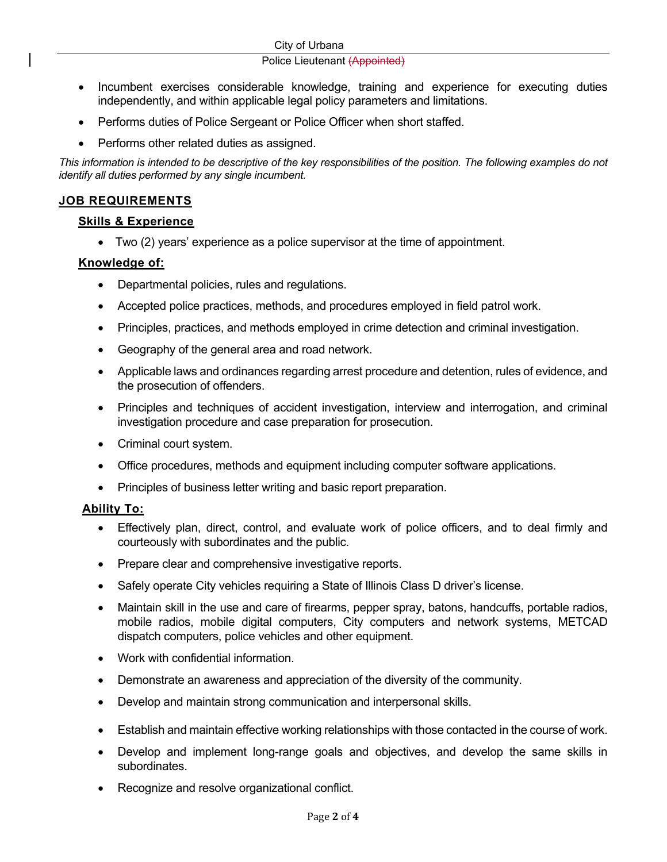#### Police Lieutenant (Appointed)

- Incumbent exercises considerable knowledge, training and experience for executing duties independently, and within applicable legal policy parameters and limitations.
- Performs duties of Police Sergeant or Police Officer when short staffed.
- Performs other related duties as assigned.

*This information is intended to be descriptive of the key responsibilities of the position. The following examples do not identify all duties performed by any single incumbent.*

# **JOB REQUIREMENTS**

## **Skills & Experience**

Two (2) years' experience as a police supervisor at the time of appointment.

## **Knowledge of:**

- Departmental policies, rules and regulations.
- Accepted police practices, methods, and procedures employed in field patrol work.
- Principles, practices, and methods employed in crime detection and criminal investigation.
- Geography of the general area and road network.
- Applicable laws and ordinances regarding arrest procedure and detention, rules of evidence, and the prosecution of offenders.
- Principles and techniques of accident investigation, interview and interrogation, and criminal investigation procedure and case preparation for prosecution.
- Criminal court system.
- Office procedures, methods and equipment including computer software applications.
- Principles of business letter writing and basic report preparation.

#### **Ability To:**

- Effectively plan, direct, control, and evaluate work of police officers, and to deal firmly and courteously with subordinates and the public.
- Prepare clear and comprehensive investigative reports.
- Safely operate City vehicles requiring a State of Illinois Class D driver's license.
- Maintain skill in the use and care of firearms, pepper spray, batons, handcuffs, portable radios, mobile radios, mobile digital computers, City computers and network systems, METCAD dispatch computers, police vehicles and other equipment.
- Work with confidential information.
- Demonstrate an awareness and appreciation of the diversity of the community.
- Develop and maintain strong communication and interpersonal skills.
- Establish and maintain effective working relationships with those contacted in the course of work.
- Develop and implement long-range goals and objectives, and develop the same skills in subordinates.
- Recognize and resolve organizational conflict.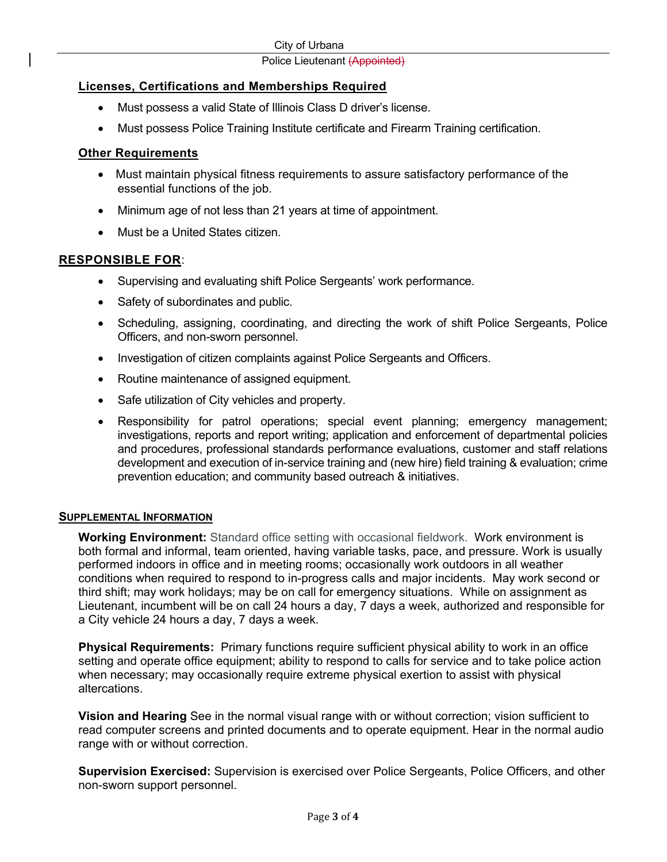#### Police Lieutenant (Appointed)

## **Licenses, Certifications and Memberships Required**

- Must possess a valid State of Illinois Class D driver's license.
- Must possess Police Training Institute certificate and Firearm Training certification.

## **Other Requirements**

- Must maintain physical fitness requirements to assure satisfactory performance of the essential functions of the job.
- Minimum age of not less than 21 years at time of appointment.
- Must be a United States citizen.

## **RESPONSIBLE FOR**:

- Supervising and evaluating shift Police Sergeants' work performance.
- Safety of subordinates and public.
- Scheduling, assigning, coordinating, and directing the work of shift Police Sergeants, Police Officers, and non-sworn personnel.
- Investigation of citizen complaints against Police Sergeants and Officers.
- Routine maintenance of assigned equipment.
- Safe utilization of City vehicles and property.
- Responsibility for patrol operations; special event planning; emergency management; investigations, reports and report writing; application and enforcement of departmental policies and procedures, professional standards performance evaluations, customer and staff relations development and execution of in-service training and (new hire) field training & evaluation; crime prevention education; and community based outreach & initiatives.

#### **SUPPLEMENTAL INFORMATION**

**Working Environment:** Standard office setting with occasional fieldwork. Work environment is both formal and informal, team oriented, having variable tasks, pace, and pressure. Work is usually performed indoors in office and in meeting rooms; occasionally work outdoors in all weather conditions when required to respond to in-progress calls and major incidents. May work second or third shift; may work holidays; may be on call for emergency situations. While on assignment as Lieutenant, incumbent will be on call 24 hours a day, 7 days a week, authorized and responsible for a City vehicle 24 hours a day, 7 days a week.

**Physical Requirements:** Primary functions require sufficient physical ability to work in an office setting and operate office equipment; ability to respond to calls for service and to take police action when necessary; may occasionally require extreme physical exertion to assist with physical altercations.

**Vision and Hearing** See in the normal visual range with or without correction; vision sufficient to read computer screens and printed documents and to operate equipment. Hear in the normal audio range with or without correction.

**Supervision Exercised:** Supervision is exercised over Police Sergeants, Police Officers, and other non-sworn support personnel.